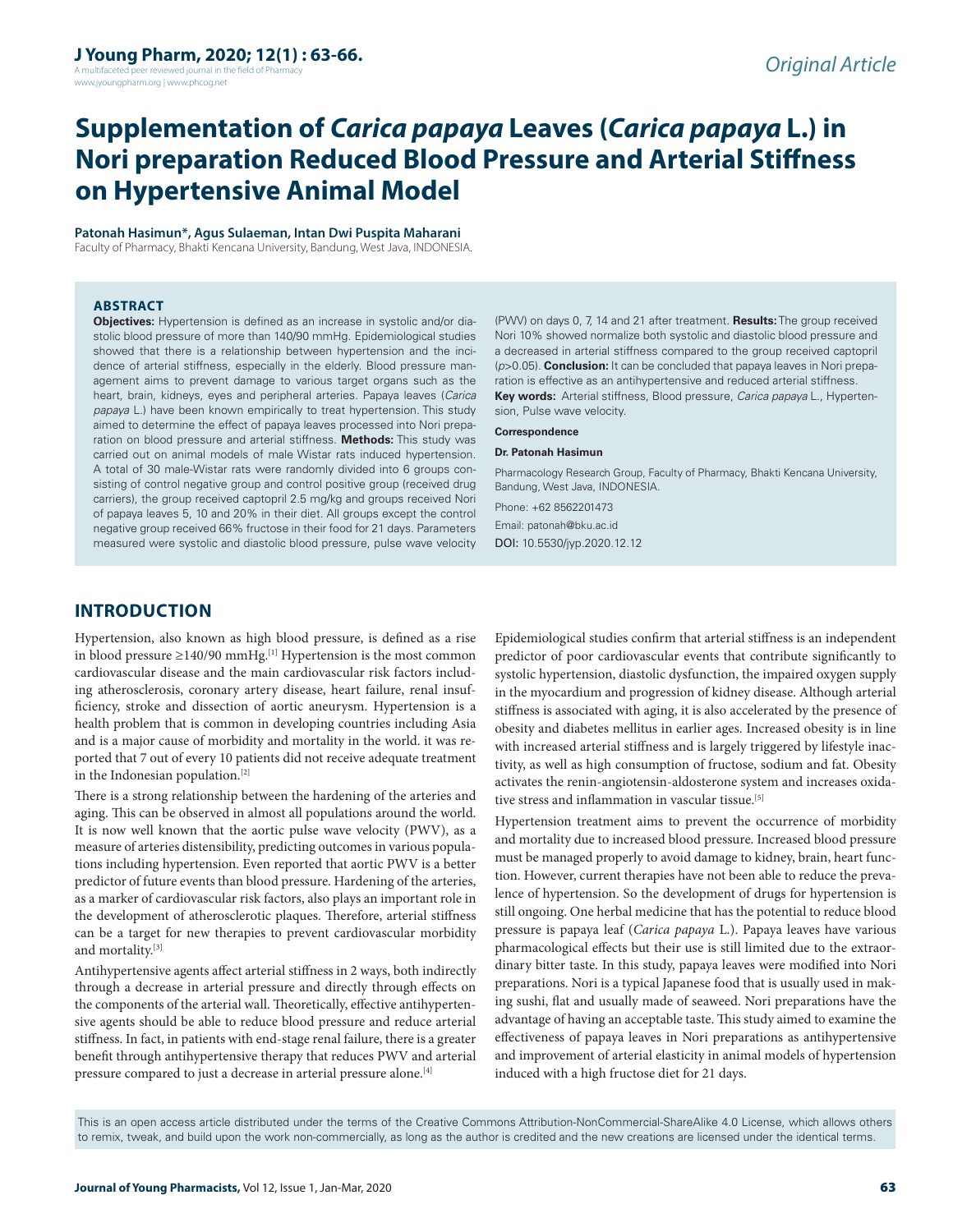A multifaceted peer reviewed journal in the field of Pharm www.jyoungpharm.org | www.phcog.net

# **Supplementation of** *Carica papaya* **Leaves (***Carica papaya* **L.) in Nori preparation Reduced Blood Pressure and Arterial Stiffness on Hypertensive Animal Model**

#### **Patonah Hasimun\*, Agus Sulaeman, Intan Dwi Puspita Maharani**

Faculty of Pharmacy, Bhakti Kencana University, Bandung, West Java, INDONESIA.

#### **ABSTRACT**

**Objectives:** Hypertension is defined as an increase in systolic and/or diastolic blood pressure of more than 140/90 mmHg. Epidemiological studies showed that there is a relationship between hypertension and the incidence of arterial stiffness, especially in the elderly. Blood pressure management aims to prevent damage to various target organs such as the heart, brain, kidneys, eyes and peripheral arteries. Papaya leaves (*Carica papaya* L.) have been known empirically to treat hypertension. This study aimed to determine the effect of papaya leaves processed into Nori preparation on blood pressure and arterial stiffness. **Methods:** This study was carried out on animal models of male Wistar rats induced hypertension. A total of 30 male-Wistar rats were randomly divided into 6 groups consisting of control negative group and control positive group (received drug carriers), the group received captopril 2.5 mg/kg and groups received Nori of papaya leaves 5, 10 and 20% in their diet. All groups except the control negative group received 66% fructose in their food for 21 days. Parameters measured were systolic and diastolic blood pressure, pulse wave velocity

(PWV) on days 0, 7, 14 and 21 after treatment. **Results:** The group received Nori 10% showed normalize both systolic and diastolic blood pressure and a decreased in arterial stiffness compared to the group received captopril (*p*>0.05). **Conclusion:** It can be concluded that papaya leaves in Nori preparation is effective as an antihypertensive and reduced arterial stiffness. **Key words:** Arterial stiffness, Blood pressure, *Carica papaya* L., Hypertension, Pulse wave velocity.

#### **Correspondence**

#### **Dr. Patonah Hasimun**

Pharmacology Research Group, Faculty of Pharmacy, Bhakti Kencana University, Bandung, West Java, INDONESIA.

Phone: +62 8562201473 Email: patonah@bku.ac.id DOI: 10.5530/jyp.2020.12.12

# **INTRODUCTION**

Hypertension, also known as high blood pressure, is defined as a rise in blood pressure ≥140/90 mmHg.<sup>[1]</sup> Hypertension is the most common cardiovascular disease and the main cardiovascular risk factors including atherosclerosis, coronary artery disease, heart failure, renal insufficiency, stroke and dissection of aortic aneurysm. Hypertension is a health problem that is common in developing countries including Asia and is a major cause of morbidity and mortality in the world. it was reported that 7 out of every 10 patients did not receive adequate treatment in the Indonesian population.[2]

There is a strong relationship between the hardening of the arteries and aging. This can be observed in almost all populations around the world. It is now well known that the aortic pulse wave velocity (PWV), as a measure of arteries distensibility, predicting outcomes in various populations including hypertension. Even reported that aortic PWV is a better predictor of future events than blood pressure. Hardening of the arteries, as a marker of cardiovascular risk factors, also plays an important role in the development of atherosclerotic plaques. Therefore, arterial stiffness can be a target for new therapies to prevent cardiovascular morbidity and mortality.[3]

Antihypertensive agents affect arterial stiffness in 2 ways, both indirectly through a decrease in arterial pressure and directly through effects on the components of the arterial wall. Theoretically, effective antihypertensive agents should be able to reduce blood pressure and reduce arterial stiffness. In fact, in patients with end-stage renal failure, there is a greater benefit through antihypertensive therapy that reduces PWV and arterial pressure compared to just a decrease in arterial pressure alone.[4]

Epidemiological studies confirm that arterial stiffness is an independent predictor of poor cardiovascular events that contribute significantly to systolic hypertension, diastolic dysfunction, the impaired oxygen supply in the myocardium and progression of kidney disease. Although arterial stiffness is associated with aging, it is also accelerated by the presence of obesity and diabetes mellitus in earlier ages. Increased obesity is in line with increased arterial stiffness and is largely triggered by lifestyle inactivity, as well as high consumption of fructose, sodium and fat. Obesity activates the renin-angiotensin-aldosterone system and increases oxidative stress and inflammation in vascular tissue.<sup>[5]</sup>

Hypertension treatment aims to prevent the occurrence of morbidity and mortality due to increased blood pressure. Increased blood pressure must be managed properly to avoid damage to kidney, brain, heart function. However, current therapies have not been able to reduce the prevalence of hypertension. So the development of drugs for hypertension is still ongoing. One herbal medicine that has the potential to reduce blood pressure is papaya leaf (*Carica papaya* L.). Papaya leaves have various pharmacological effects but their use is still limited due to the extraordinary bitter taste. In this study, papaya leaves were modified into Nori preparations. Nori is a typical Japanese food that is usually used in making sushi, flat and usually made of seaweed. Nori preparations have the advantage of having an acceptable taste. This study aimed to examine the effectiveness of papaya leaves in Nori preparations as antihypertensive and improvement of arterial elasticity in animal models of hypertension induced with a high fructose diet for 21 days.

This is an open access article distributed under the terms of the Creative Commons Attribution-NonCommercial-ShareAlike 4.0 License, which allows others to remix, tweak, and build upon the work non-commercially, as long as the author is credited and the new creations are licensed under the identical terms.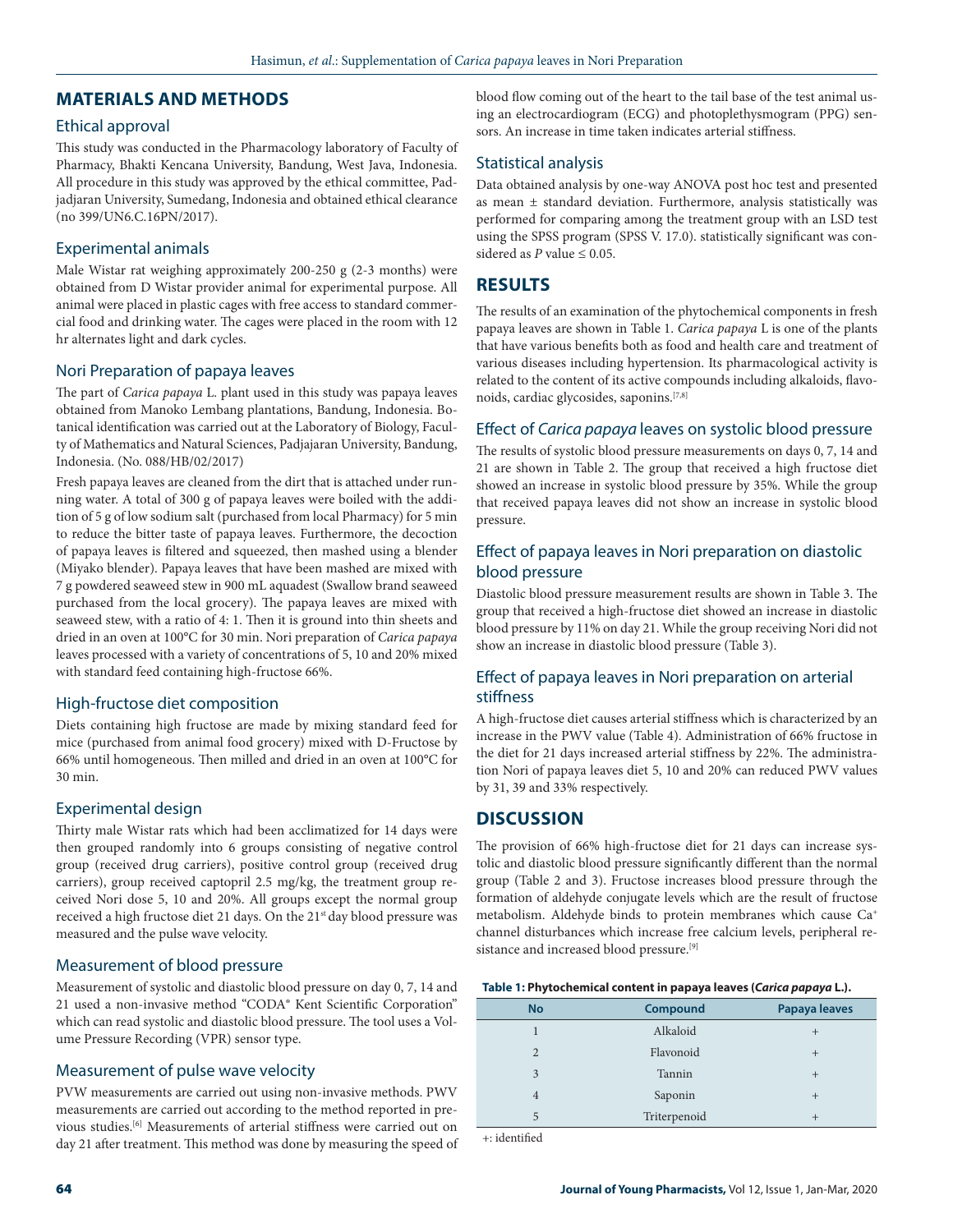# **MATERIALS AND METHODS**

### Ethical approval

This study was conducted in the Pharmacology laboratory of Faculty of Pharmacy, Bhakti Kencana University, Bandung, West Java, Indonesia. All procedure in this study was approved by the ethical committee, Padjadjaran University, Sumedang, Indonesia and obtained ethical clearance (no 399/UN6.C.16PN/2017).

# Experimental animals

Male Wistar rat weighing approximately 200-250 g (2-3 months) were obtained from D Wistar provider animal for experimental purpose. All animal were placed in plastic cages with free access to standard commercial food and drinking water. The cages were placed in the room with 12 hr alternates light and dark cycles.

# Nori Preparation of papaya leaves

The part of *Carica papaya* L. plant used in this study was papaya leaves obtained from Manoko Lembang plantations, Bandung, Indonesia. Botanical identification was carried out at the Laboratory of Biology, Faculty of Mathematics and Natural Sciences, Padjajaran University, Bandung, Indonesia. (No. 088/HB/02/2017)

Fresh papaya leaves are cleaned from the dirt that is attached under running water. A total of 300 g of papaya leaves were boiled with the addition of 5 g of low sodium salt (purchased from local Pharmacy) for 5 min to reduce the bitter taste of papaya leaves. Furthermore, the decoction of papaya leaves is filtered and squeezed, then mashed using a blender (Miyako blender). Papaya leaves that have been mashed are mixed with 7 g powdered seaweed stew in 900 mL aquadest (Swallow brand seaweed purchased from the local grocery). The papaya leaves are mixed with seaweed stew, with a ratio of 4: 1. Then it is ground into thin sheets and dried in an oven at 100°C for 30 min. Nori preparation of *Carica papaya* leaves processed with a variety of concentrations of 5, 10 and 20% mixed with standard feed containing high-fructose 66%.

# High-fructose diet composition

Diets containing high fructose are made by mixing standard feed for mice (purchased from animal food grocery) mixed with D-Fructose by 66% until homogeneous. Then milled and dried in an oven at 100°C for 30 min.

# Experimental design

Thirty male Wistar rats which had been acclimatized for 14 days were then grouped randomly into 6 groups consisting of negative control group (received drug carriers), positive control group (received drug carriers), group received captopril 2.5 mg/kg, the treatment group received Nori dose 5, 10 and 20%. All groups except the normal group received a high fructose diet 21 days. On the 21<sup>st</sup> day blood pressure was measured and the pulse wave velocity.

# Measurement of blood pressure

Measurement of systolic and diastolic blood pressure on day 0, 7, 14 and 21 used a non-invasive method "CODA® Kent Scientific Corporation" which can read systolic and diastolic blood pressure. The tool uses a Volume Pressure Recording (VPR) sensor type.

#### Measurement of pulse wave velocity

PVW measurements are carried out using non-invasive methods. PWV measurements are carried out according to the method reported in previous studies.[6] Measurements of arterial stiffness were carried out on day 21 after treatment. This method was done by measuring the speed of blood flow coming out of the heart to the tail base of the test animal using an electrocardiogram (ECG) and photoplethysmogram (PPG) sensors. An increase in time taken indicates arterial stiffness.

# Statistical analysis

Data obtained analysis by one-way ANOVA post hoc test and presented as mean ± standard deviation. Furthermore, analysis statistically was performed for comparing among the treatment group with an LSD test using the SPSS program (SPSS V. 17.0). statistically significant was considered as  $P$  value  $\leq 0.05$ .

# **RESULTS**

The results of an examination of the phytochemical components in fresh papaya leaves are shown in Table 1. *Carica papaya* L is one of the plants that have various benefits both as food and health care and treatment of various diseases including hypertension. Its pharmacological activity is related to the content of its active compounds including alkaloids, flavonoids, cardiac glycosides, saponins.[7,8]

# Effect of *Carica papaya* leaves on systolic blood pressure

The results of systolic blood pressure measurements on days 0, 7, 14 and 21 are shown in Table 2. The group that received a high fructose diet showed an increase in systolic blood pressure by 35%. While the group that received papaya leaves did not show an increase in systolic blood pressure.

# Effect of papaya leaves in Nori preparation on diastolic blood pressure

Diastolic blood pressure measurement results are shown in Table 3. The group that received a high-fructose diet showed an increase in diastolic blood pressure by 11% on day 21. While the group receiving Nori did not show an increase in diastolic blood pressure (Table 3).

# Effect of papaya leaves in Nori preparation on arterial stiffness

A high-fructose diet causes arterial stiffness which is characterized by an increase in the PWV value (Table 4). Administration of 66% fructose in the diet for 21 days increased arterial stiffness by 22%. The administration Nori of papaya leaves diet 5, 10 and 20% can reduced PWV values by 31, 39 and 33% respectively.

# **DISCUSSION**

The provision of 66% high-fructose diet for 21 days can increase systolic and diastolic blood pressure significantly different than the normal group (Table 2 and 3). Fructose increases blood pressure through the formation of aldehyde conjugate levels which are the result of fructose metabolism. Aldehyde binds to protein membranes which cause Ca+ channel disturbances which increase free calcium levels, peripheral resistance and increased blood pressure.<sup>[9]</sup>

#### **Table 1: Phytochemical content in papaya leaves (***Carica papaya* **L.).**

| <b>No</b>      | Compound          | Papaya leaves |  |
|----------------|-------------------|---------------|--|
|                | Alkaloid          | $\pm$         |  |
| $\overline{2}$ | Flavonoid         | $^{+}$        |  |
| 3              | Tannin            | $^{+}$        |  |
| $\overline{4}$ | Saponin<br>$^{+}$ |               |  |
| 5              | Triterpenoid      | $^{+}$        |  |
|                |                   |               |  |

+: identified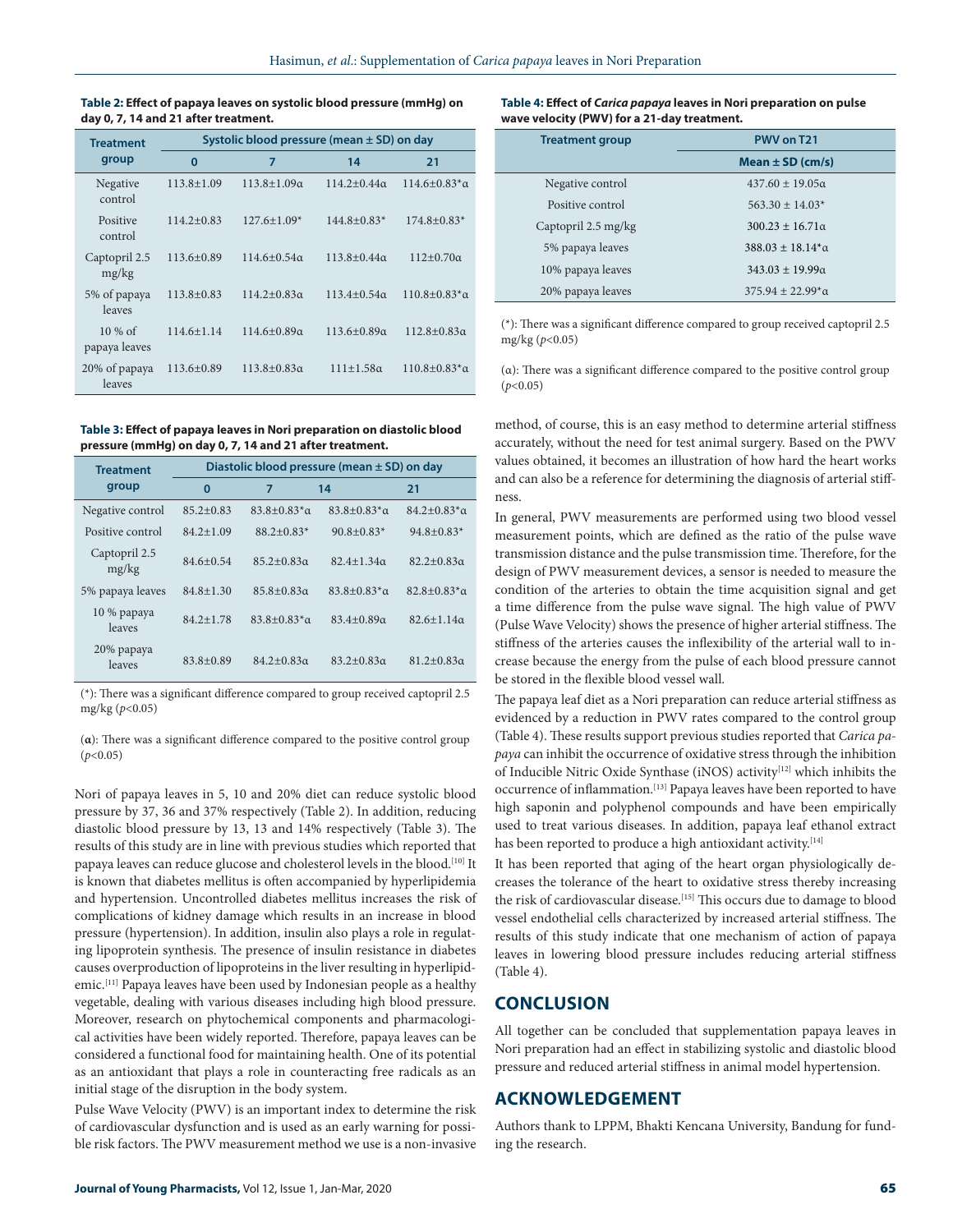**Table 2: Effect of papaya leaves on systolic blood pressure (mmHg) on day 0, 7, 14 and 21 after treatment.**

| <b>Treatment</b><br>group  | Systolic blood pressure (mean $\pm$ SD) on day |                      |                      |                         |
|----------------------------|------------------------------------------------|----------------------|----------------------|-------------------------|
|                            | 0                                              | 7                    | 14                   | 21                      |
| Negative<br>control        | $113.8 \pm 1.09$                               | $113.8 + 1.09\alpha$ | $114.2 + 0.44\alpha$ | $114.6 + 0.83^* \alpha$ |
| Positive<br>control        | $114.2 + 0.83$                                 | $127.6 \pm 1.09*$    | $144.8 + 0.83*$      | $174.8 + 0.83*$         |
| Captopril 2.5<br>mg/kg     | $113.6 \pm 0.89$                               | $114.6 + 0.54\alpha$ | $113.8 \pm 0.44$ a   | $112+0.70\alpha$        |
| 5% of papaya<br>leaves     | $113.8 + 0.83$                                 | $114.2 + 0.83\alpha$ | $113.4 + 0.54\alpha$ | $110.8 + 0.83^* \alpha$ |
| $10\%$ of<br>papaya leaves | $114.6 \pm 1.14$                               | $114.6 + 0.89a$      | $113.6 \pm 0.89$ a   | $112.8 + 0.83\alpha$    |
| 20% of papaya<br>leaves    | $113.6 + 0.89$                                 | $113.8 + 0.83\alpha$ | $111 \pm 1.58\alpha$ | $110.8 + 0.83^*$ a      |

**Table 3: Effect of papaya leaves in Nori preparation on diastolic blood pressure (mmHg) on day 0, 7, 14 and 21 after treatment.**

| <b>Treatment</b>       | Diastolic blood pressure (mean $\pm$ SD) on day |                     |                     |                     |
|------------------------|-------------------------------------------------|---------------------|---------------------|---------------------|
| group                  | 0                                               | 7                   | 14                  | 21                  |
| Negative control       | $85.2 + 0.83$                                   | $83.8 + 0.83^*$ a   | $83.8 + 0.83^*$ a   | $84.2 + 0.83^*$ a   |
| Positive control       | $84.2 + 1.09$                                   | $88.2 + 0.83*$      | $90.8 + 0.83*$      | $94.8 + 0.83*$      |
| Captopril 2.5<br>mg/kg | $84.6 + 0.54$                                   | $85.2 + 0.83\alpha$ | $82.4 + 1.34$       | $82.2 + 0.83\alpha$ |
| 5% papaya leaves       | $84.8 + 1.30$                                   | $85.8 + 0.83\alpha$ | $83.8 + 0.83^*$ a   | $82.8 + 0.83^*$ a   |
| 10 % papaya<br>leaves  | $84.2 \pm 1.78$                                 | $83.8 + 0.83^*$ a   | $83.4 + 0.89\alpha$ | $82.6 + 1.14\alpha$ |
| 20% papaya<br>leaves   | $83.8 + 0.89$                                   | $84.2 + 0.83\alpha$ | $83.2 + 0.83\alpha$ | $81.2 + 0.83\alpha$ |

(\*): There was a significant difference compared to group received captopril 2.5 mg/kg (*p*<0.05)

(**α**): There was a significant difference compared to the positive control group (*p*<0.05)

Nori of papaya leaves in 5, 10 and 20% diet can reduce systolic blood pressure by 37, 36 and 37% respectively (Table 2). In addition, reducing diastolic blood pressure by 13, 13 and 14% respectively (Table 3). The results of this study are in line with previous studies which reported that papaya leaves can reduce glucose and cholesterol levels in the blood.<sup>[10]</sup> It is known that diabetes mellitus is often accompanied by hyperlipidemia and hypertension. Uncontrolled diabetes mellitus increases the risk of complications of kidney damage which results in an increase in blood pressure (hypertension). In addition, insulin also plays a role in regulating lipoprotein synthesis. The presence of insulin resistance in diabetes causes overproduction of lipoproteins in the liver resulting in hyperlipidemic.[11] Papaya leaves have been used by Indonesian people as a healthy vegetable, dealing with various diseases including high blood pressure. Moreover, research on phytochemical components and pharmacological activities have been widely reported. Therefore, papaya leaves can be considered a functional food for maintaining health. One of its potential as an antioxidant that plays a role in counteracting free radicals as an initial stage of the disruption in the body system.

Pulse Wave Velocity (PWV) is an important index to determine the risk of cardiovascular dysfunction and is used as an early warning for possible risk factors. The PWV measurement method we use is a non-invasive

#### **Table 4: Effect of** *Carica papaya* **leaves in Nori preparation on pulse wave velocity (PWV) for a 21-day treatment.**

| <b>Treatment group</b> | PWV on T21                     |  |
|------------------------|--------------------------------|--|
|                        | Mean $\pm$ SD (cm/s)           |  |
| Negative control       | $437.60 \pm 19.05\alpha$       |  |
| Positive control       | $563.30 + 14.03*$              |  |
| Captopril 2.5 mg/kg    | $300.23 + 16.71\alpha$         |  |
| 5% papaya leaves       | $388.03 + 18.14^{*} \alpha$    |  |
| 10% papaya leaves      | $343.03 + 19.99\alpha$         |  |
| 20% papaya leaves      | $375.94 + 22.99^{\ast} \alpha$ |  |

(\*): There was a significant difference compared to group received captopril 2.5 mg/kg (*p*<0.05)

(α): There was a significant difference compared to the positive control group (*p*<0.05)

method, of course, this is an easy method to determine arterial stiffness accurately, without the need for test animal surgery. Based on the PWV values obtained, it becomes an illustration of how hard the heart works and can also be a reference for determining the diagnosis of arterial stiffness.

In general, PWV measurements are performed using two blood vessel measurement points, which are defined as the ratio of the pulse wave transmission distance and the pulse transmission time. Therefore, for the design of PWV measurement devices, a sensor is needed to measure the condition of the arteries to obtain the time acquisition signal and get a time difference from the pulse wave signal. The high value of PWV (Pulse Wave Velocity) shows the presence of higher arterial stiffness. The stiffness of the arteries causes the inflexibility of the arterial wall to increase because the energy from the pulse of each blood pressure cannot be stored in the flexible blood vessel wall.

The papaya leaf diet as a Nori preparation can reduce arterial stiffness as evidenced by a reduction in PWV rates compared to the control group (Table 4). These results support previous studies reported that *Carica papaya* can inhibit the occurrence of oxidative stress through the inhibition of Inducible Nitric Oxide Synthase (iNOS) activity<sup>[12]</sup> which inhibits the occurrence of inflammation.[13] Papaya leaves have been reported to have high saponin and polyphenol compounds and have been empirically used to treat various diseases. In addition, papaya leaf ethanol extract has been reported to produce a high antioxidant activity.[14]

It has been reported that aging of the heart organ physiologically decreases the tolerance of the heart to oxidative stress thereby increasing the risk of cardiovascular disease.<sup>[15]</sup> This occurs due to damage to blood vessel endothelial cells characterized by increased arterial stiffness. The results of this study indicate that one mechanism of action of papaya leaves in lowering blood pressure includes reducing arterial stiffness (Table 4).

### **CONCLUSION**

All together can be concluded that supplementation papaya leaves in Nori preparation had an effect in stabilizing systolic and diastolic blood pressure and reduced arterial stiffness in animal model hypertension.

# **ACKNOWLEDGEMENT**

Authors thank to LPPM, Bhakti Kencana University, Bandung for funding the research.